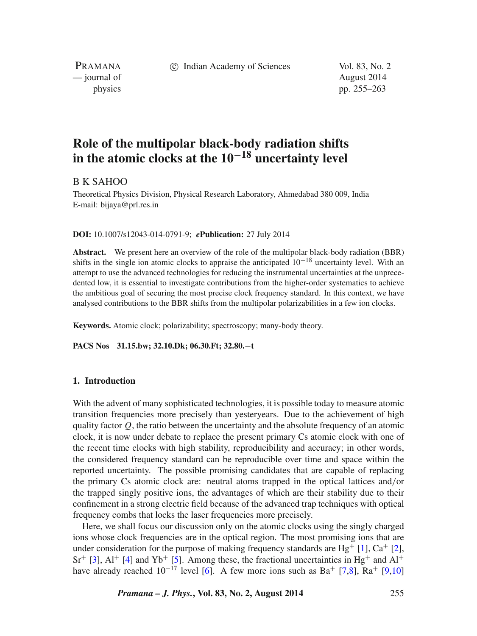c Indian Academy of Sciences Vol. 83, No. 2

PRAMANA — journal of August 2014

physics pp. 255–263

# **Role of the multipolar black-body radiation shifts in the atomic clocks at the 10−<sup>18</sup> uncertainty level**

## B K SAHOO

Theoretical Physics Division, Physical Research Laboratory, Ahmedabad 380 009, India E-mail: bijaya@prl.res.in

## **DOI:** 10.1007/s12043-014-0791-9; *e***Publication:** 27 July 2014

**Abstract.** We present here an overview of the role of the multipolar black-body radiation (BBR) shifts in the single ion atomic clocks to appraise the anticipated  $10^{-18}$  uncertainty level. With an attempt to use the advanced technologies for reducing the instrumental uncertainties at the unprecedented low, it is essential to investigate contributions from the higher-order systematics to achieve the ambitious goal of securing the most precise clock frequency standard. In this context, we have analysed contributions to the BBR shifts from the multipolar polarizabilities in a few ion clocks.

**Keywords.** Atomic clock; polarizability; spectroscopy; many-body theory.

## **PACS Nos 31.15.bw; 32.10.Dk; 06.30.Ft; 32.80.**−**t**

## **1. Introduction**

With the advent of many sophisticated technologies, it is possible today to measure atomic transition frequencies more precisely than yesteryears. Due to the achievement of high quality factor  $Q$ , the ratio between the uncertainty and the absolute frequency of an atomic clock, it is now under debate to replace the present primary Cs atomic clock with one of the recent time clocks with high stability, reproducibility and accuracy; in other words, the considered frequency standard can be reproducible over time and space within the reported uncertainty. The possible promising candidates that are capable of replacing the primary Cs atomic clock are: neutral atoms trapped in the optical lattices and*/*or the trapped singly positive ions, the advantages of which are their stability due to their confinement in a strong electric field because of the advanced trap techniques with optical frequency combs that locks the laser frequencies more precisely.

Here, we shall focus our discussion only on the atomic clocks using the singly charged ions whose clock frequencies are in the optical region. The most promising ions that are under consideration for the purpose of making frequency standards are Hg<sup>+</sup> [\[1\]](#page-7-0),  $Ca<sup>+</sup>$  [\[2\]](#page-7-1),  $Sr^+$  [\[3\]](#page-7-2),  $Al^+$  [\[4\]](#page-7-3) and  $Yb^+$  [\[5\]](#page-7-4). Among these, the fractional uncertainties in Hg<sup>+</sup> and  $Al^+$ have already reached  $10^{-17}$  level [\[6\]](#page-8-0). A few more ions such as Ba<sup>+</sup> [\[7](#page-8-1)[,8\]](#page-8-2), Ra<sup>+</sup> [\[9,](#page-8-3)[10\]](#page-8-4)

*Pramana – J. Phys.***, Vol. 83, No. 2, August 2014** 255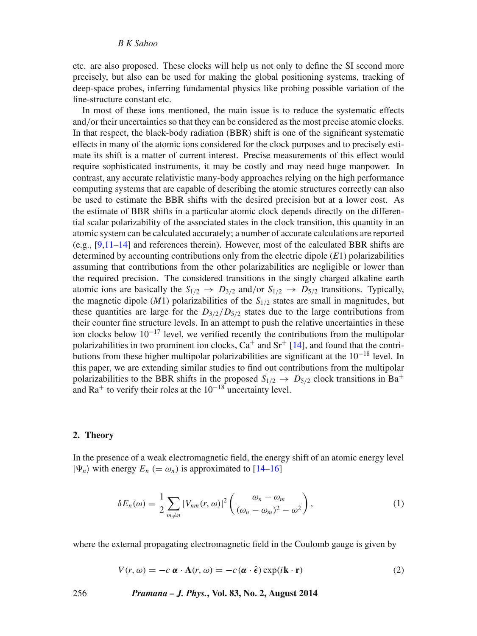etc. are also proposed. These clocks will help us not only to define the SI second more precisely, but also can be used for making the global positioning systems, tracking of deep-space probes, inferring fundamental physics like probing possible variation of the fine-structure constant etc.

In most of these ions mentioned, the main issue is to reduce the systematic effects and*/*or their uncertainties so that they can be considered as the most precise atomic clocks. In that respect, the black-body radiation (BBR) shift is one of the significant systematic effects in many of the atomic ions considered for the clock purposes and to precisely estimate its shift is a matter of current interest. Precise measurements of this effect would require sophisticated instruments, it may be costly and may need huge manpower. In contrast, any accurate relativistic many-body approaches relying on the high performance computing systems that are capable of describing the atomic structures correctly can also be used to estimate the BBR shifts with the desired precision but at a lower cost. As the estimate of BBR shifts in a particular atomic clock depends directly on the differential scalar polarizability of the associated states in the clock transition, this quantity in an atomic system can be calculated accurately; a number of accurate calculations are reported (e.g.,  $[9,11-14]$  $[9,11-14]$  $[9,11-14]$  and references therein). However, most of the calculated BBR shifts are determined by accounting contributions only from the electric dipole (*E*1) polarizabilities assuming that contributions from the other polarizabilities are negligible or lower than the required precision. The considered transitions in the singly charged alkaline earth atomic ions are basically the  $S_{1/2} \rightarrow D_{3/2}$  and/or  $S_{1/2} \rightarrow D_{5/2}$  transitions. Typically, the magnetic dipole (*M*1) polarizabilities of the  $S_{1/2}$  states are small in magnitudes, but these quantities are large for the  $D_{3/2}/D_{5/2}$  states due to the large contributions from their counter fine structure levels. In an attempt to push the relative uncertainties in these ion clocks below 10<sup>−</sup><sup>17</sup> level, we verified recently the contributions from the multipolar polarizabilities in two prominent ion clocks,  $Ca^+$  and  $Sr^+$  [\[14\]](#page-8-6), and found that the contributions from these higher multipolar polarizabilities are significant at the 10<sup>−</sup><sup>18</sup> level. In this paper, we are extending similar studies to find out contributions from the multipolar polarizabilities to the BBR shifts in the proposed  $S_{1/2} \rightarrow D_{5/2}$  clock transitions in Ba<sup>+</sup> and  $Ra<sup>+</sup>$  to verify their roles at the  $10<sup>-18</sup>$  uncertainty level.

## **2. Theory**

In the presence of a weak electromagnetic field, the energy shift of an atomic energy level  $|\Psi_n\rangle$  with energy  $E_n (= \omega_n)$  is approximated to [\[14–](#page-8-6)[16\]](#page-8-7)

$$
\delta E_n(\omega) = \frac{1}{2} \sum_{m \neq n} |V_{nm}(r, \omega)|^2 \left( \frac{\omega_n - \omega_m}{(\omega_n - \omega_m)^2 - \omega^2} \right),\tag{1}
$$

where the external propagating electromagnetic field in the Coulomb gauge is given by

$$
V(r, \omega) = -c \, \alpha \cdot A(r, \omega) = -c (\alpha \cdot \hat{\epsilon}) \exp(i\mathbf{k} \cdot \mathbf{r}) \tag{2}
$$

256 *Pramana – J. Phys.***, Vol. 83, No. 2, August 2014**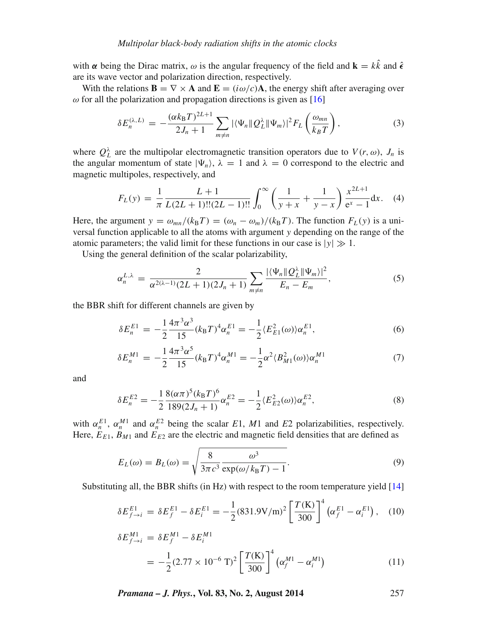with  $\alpha$  being the Dirac matrix,  $\omega$  is the angular frequency of the field and  $\mathbf{k} = k\hat{k}$  and  $\hat{\epsilon}$ are its wave vector and polarization direction, respectively.

With the relations  $\mathbf{B} = \nabla \times \mathbf{A}$  and  $\mathbf{E} = (i\omega/c)\mathbf{A}$ , the energy shift after averaging over  $ω$  for all the polarization and propagation directions is given as  $[16]$ 

$$
\delta E_n^{(\lambda,L)} = -\frac{(\alpha k_B T)^{2L+1}}{2J_n+1} \sum_{m \neq n} |\langle \Psi_n \| Q_L^{\lambda} \| \Psi_m \rangle|^2 F_L \left( \frac{\omega_{mn}}{k_B T} \right), \tag{3}
$$

where  $Q_L^{\lambda}$  are the multipolar electromagnetic transition operators due to  $V(r, \omega)$ ,  $J_n$  is the angular momentum of state  $|\Psi_n\rangle$ ,  $\lambda = 1$  and  $\lambda = 0$  correspond to the electric and magnetic multipoles, respectively, and

$$
F_L(y) = \frac{1}{\pi} \frac{L+1}{L(2L+1)!!(2L-1)!!} \int_0^\infty \left(\frac{1}{y+x} + \frac{1}{y-x}\right) \frac{x^{2L+1}}{e^x - 1} dx. \tag{4}
$$

Here, the argument  $y = \omega_{mn}/(k_B T) = (\omega_n - \omega_m)/(k_B T)$ . The function  $F_L(y)$  is a universal function applicable to all the atoms with argument *y* depending on the range of the atomic parameters; the valid limit for these functions in our case is  $|y| \gg 1$ .

Using the general definition of the scalar polarizability,

<span id="page-2-0"></span>
$$
\alpha_n^{L,\lambda} = \frac{2}{\alpha^{2(\lambda-1)}(2L+1)(2J_n+1)} \sum_{m \neq n} \frac{|\langle \Psi_n || Q_L^{\lambda} || \Psi_m \rangle|^2}{E_n - E_m},
$$
(5)

the BBR shift for different channels are given by

$$
\delta E_n^{E1} = -\frac{1}{2} \frac{4\pi^3 \alpha^3}{15} (k_B T)^4 \alpha_n^{E1} = -\frac{1}{2} \langle E_{E1}^2(\omega) \rangle \alpha_n^{E1},\tag{6}
$$

$$
\delta E_n^{M1} = -\frac{1}{2} \frac{4\pi^3 \alpha^5}{15} (k_B T)^4 \alpha_n^{M1} = -\frac{1}{2} \alpha^2 \langle B_{M1}^2(\omega) \rangle \alpha_n^{M1} \tag{7}
$$

and

$$
\delta E_n^{E2} = -\frac{1}{2} \frac{8(\alpha \pi)^5 (k_B T)^6}{189(2J_n + 1)} \alpha_n^{E2} = -\frac{1}{2} \langle E_{E2}^2(\omega) \rangle \alpha_n^{E2},\tag{8}
$$

with  $\alpha_n^{E_1}$ ,  $\alpha_n^{M_1}$  and  $\alpha_n^{E_2}$  being the scalar *E*1, *M*1 and *E*2 polarizabilities, respectively. Here,  $E_{E1}$ ,  $B_{M1}$  and  $E_{E2}$  are the electric and magnetic field densities that are defined as

$$
E_L(\omega) = B_L(\omega) = \sqrt{\frac{8}{3\pi c^3} \frac{\omega^3}{\exp(\omega/k_B T) - 1}}.
$$
\n(9)

Substituting all, the BBR shifts (in Hz) with respect to the room temperature yield [\[14\]](#page-8-6)

$$
\delta E_{f \to i}^{E1} = \delta E_f^{E1} - \delta E_i^{E1} = -\frac{1}{2} (831.9 \text{V/m})^2 \left[ \frac{T(\text{K})}{300} \right]^4 \left( \alpha_f^{E1} - \alpha_i^{E1} \right), \quad (10)
$$

$$
\delta E_{f \to i}^{M1} = \delta E_f^{M1} - \delta E_i^{M1}
$$
  
=  $-\frac{1}{2} (2.77 \times 10^{-6} \text{ T})^2 \left[ \frac{T(\text{K})}{300} \right]^4 (\alpha_f^{M1} - \alpha_i^{M1})$  (11)

*Pramana – J. Phys.***, Vol. 83, No. 2, August 2014** 257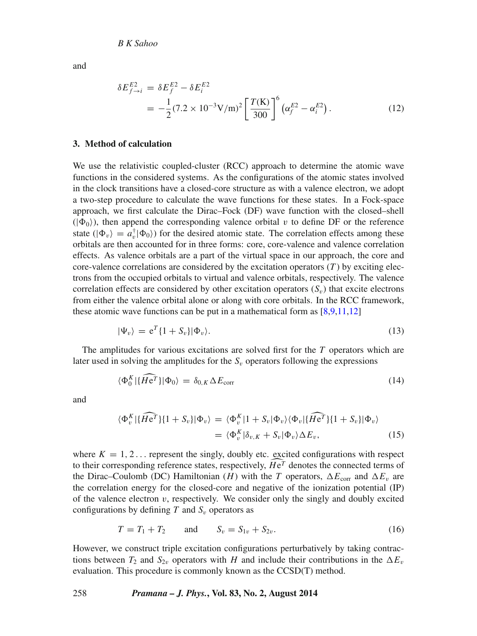and

$$
\delta E_{f \to i}^{E2} = \delta E_f^{E2} - \delta E_i^{E2}
$$
  
=  $-\frac{1}{2} (7.2 \times 10^{-3} \text{V/m})^2 \left[ \frac{T(\text{K})}{300} \right]^6 (\alpha_f^{E2} - \alpha_i^{E2}).$  (12)

## **3. Method of calculation**

We use the relativistic coupled-cluster (RCC) approach to determine the atomic wave functions in the considered systems. As the configurations of the atomic states involved in the clock transitions have a closed-core structure as with a valence electron, we adopt a two-step procedure to calculate the wave functions for these states. In a Fock-space approach, we first calculate the Dirac–Fock (DF) wave function with the closed–shell  $(|\Phi_0\rangle)$ , then append the corresponding valence orbital *v* to define DF or the reference state ( $|\Phi_v\rangle = a_v^{\dagger} |\Phi_0\rangle$ ) for the desired atomic state. The correlation effects among these orbitals are then accounted for in three forms: core, core-valence and valence correlation effects. As valence orbitals are a part of the virtual space in our approach, the core and core-valence correlations are considered by the excitation operators  $(T)$  by exciting electrons from the occupied orbitals to virtual and valence orbitals, respectively. The valence correlation effects are considered by other excitation operators  $(S_v)$  that excite electrons from either the valence orbital alone or along with core orbitals. In the RCC framework, these atomic wave functions can be put in a mathematical form as  $[8,9,11,12]$  $[8,9,11,12]$  $[8,9,11,12]$  $[8,9,11,12]$ 

$$
|\Psi_v\rangle = e^T \{1 + S_v\} |\Phi_v\rangle. \tag{13}
$$

The amplitudes for various excitations are solved first for the *T* operators which are later used in solving the amplitudes for the  $S_v$  operators following the expressions

$$
\langle \Phi_0^K | \{ \overline{H} \overline{e^T} \} | \Phi_0 \rangle = \delta_{0,K} \Delta E_{\text{corr}} \tag{14}
$$

and

$$
\langle \Phi_v^K | \{ \widehat{He^T} \} \{ 1 + S_v \} | \Phi_v \rangle = \langle \Phi_v^K | 1 + S_v | \Phi_v \rangle \langle \Phi_v | \{ \widehat{He^T} \} \{ 1 + S_v \} | \Phi_v \rangle
$$
  
= 
$$
\langle \Phi_v^K | \delta_{v,K} + S_v | \Phi_v \rangle \Delta E_v, \tag{15}
$$

where  $K = 1, 2, \ldots$  represent the singly, doubly etc. excited configurations with respect to their corresponding reference states, respectively,  $He^T$  denotes the connected terms of the Dirac Carlemb (DC) Hamiltonian (*H*) with the  $T$  generators  $\Lambda E$  and  $\Lambda E$  and the Dirac–Coulomb (DC) Hamiltonian (*H*) with the *T* operators,  $\Delta E_{\text{corr}}$  and  $\Delta E_v$  are the correlation energy for the closed-core and negative of the ionization potential (IP) of the valence electron  $v$ , respectively. We consider only the singly and doubly excited configurations by defining  $T$  and  $S_v$  operators as

$$
T = T_1 + T_2 \qquad \text{and} \qquad S_v = S_{1v} + S_{2v}. \tag{16}
$$

However, we construct triple excitation configurations perturbatively by taking contractions between  $T_2$  and  $S_{2v}$  operators with *H* and include their contributions in the  $\Delta E_v$ evaluation. This procedure is commonly known as the CCSD(T) method.

#### 258 *Pramana – J. Phys.***, Vol. 83, No. 2, August 2014**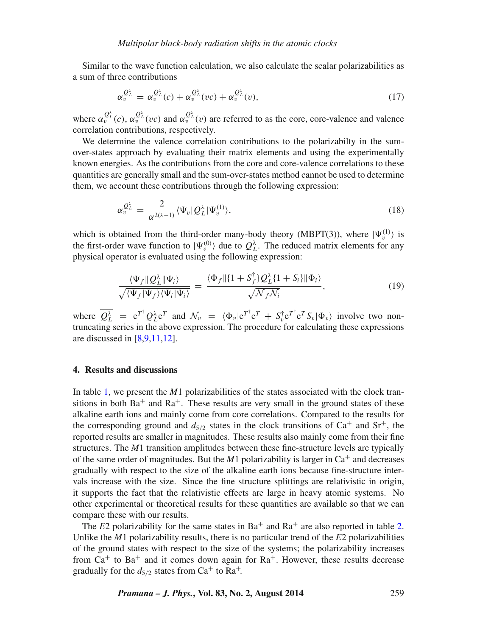Similar to the wave function calculation, we also calculate the scalar polarizabilities as a sum of three contributions

$$
\alpha_v^{\mathcal{Q}_L^{\lambda}} = \alpha_v^{\mathcal{Q}_L^{\lambda}}(c) + \alpha_v^{\mathcal{Q}_L^{\lambda}}(vc) + \alpha_v^{\mathcal{Q}_L^{\lambda}}(v), \qquad (17)
$$

where  $\alpha_v^{Q_L^{\lambda}}(c)$ ,  $\alpha_v^{Q_L^{\lambda}}(vc)$  and  $\alpha_v^{Q_L^{\lambda}}(v)$  are referred to as the core, core-valence and valence correlation contributions, respectively.

We determine the valence correlation contributions to the polarizabilty in the sumover-states approach by evaluating their matrix elements and using the experimentally known energies. As the contributions from the core and core-valence correlations to these quantities are generally small and the sum-over-states method cannot be used to determine them, we account these contributions through the following expression:

$$
\alpha_v^{\mathcal{Q}_L^{\lambda}} = \frac{2}{\alpha^{2(\lambda - 1)}} \langle \Psi_v | \mathcal{Q}_L^{\lambda} | \Psi_v^{(1)} \rangle, \tag{18}
$$

which is obtained from the third-order many-body theory (MBPT(3)), where  $|\Psi_v^{(1)}\rangle$  is the first-order wave function to  $|\Psi_v^{(0)}\rangle$  due to  $Q_L^{\lambda}$ . The reduced matrix elements for any physical operator is evaluated using the following expression:

$$
\frac{\langle \Psi_f \| Q_L^{\lambda} \| \Psi_i \rangle}{\sqrt{\langle \Psi_f | \Psi_f \rangle \langle \Psi_i | \Psi_i \rangle}} = \frac{\langle \Phi_f \| \{ 1 + S_f^{\dagger} \} Q_L^{\lambda} \{ 1 + S_i \} \| \Phi_i \rangle}{\sqrt{\mathcal{N}_f \mathcal{N}_i}},
$$
(19)

where  $\overline{Q_L^{\lambda}} = e^{T^{\dagger}} Q_L^{\lambda} e^T$  and  $\mathcal{N}_v = \langle \Phi_v | e^{T^{\dagger}} e^T + S_v^{\dagger} e^{T^{\dagger}} e^T S_v | \Phi_v \rangle$  involve two nontruncating series in the above expression. The procedure for calculating these expressions are discussed in [\[8](#page-8-2)[,9](#page-8-3)[,11,](#page-8-5)[12\]](#page-8-8).

## **4. Results and discussions**

In table [1,](#page-5-0) we present the *M*1 polarizabilities of the states associated with the clock transitions in both  $Ba^+$  and  $Ra^+$ . These results are very small in the ground states of these alkaline earth ions and mainly come from core correlations. Compared to the results for the corresponding ground and  $d_{5/2}$  states in the clock transitions of Ca<sup>+</sup> and Sr<sup>+</sup>, the reported results are smaller in magnitudes. These results also mainly come from their fine structures. The *M*1 transition amplitudes between these fine-structure levels are typically of the same order of magnitudes. But the  $M1$  polarizability is larger in  $Ca<sup>+</sup>$  and decreases gradually with respect to the size of the alkaline earth ions because fine-structure intervals increase with the size. Since the fine structure splittings are relativistic in origin, it supports the fact that the relativistic effects are large in heavy atomic systems. No other experimental or theoretical results for these quantities are available so that we can compare these with our results.

The *E*2 polarizability for the same states in  $Ba^+$  and  $Ra^+$  are also reported in table [2.](#page-6-0) Unlike the *M*1 polarizability results, there is no particular trend of the *E*2 polarizabilities of the ground states with respect to the size of the systems; the polarizability increases from  $Ca<sup>+</sup>$  to Ba<sup>+</sup> and it comes down again for  $Ra<sup>+</sup>$ . However, these results decrease gradually for the  $d_{5/2}$  states from Ca<sup>+</sup> to Ra<sup>+</sup>.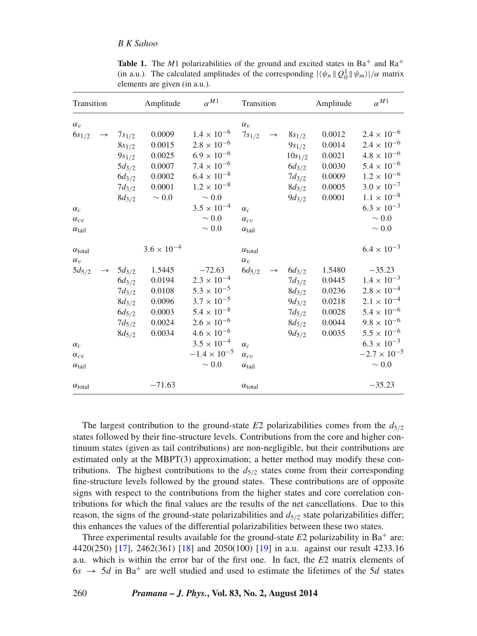<span id="page-5-0"></span>

| Transition                                                                                                   |                                                                                                | Amplitude                                                                                  | $\alpha^{M1}$                                                                                                                                                                                                           | Transition                                                                                                   |                                                                                                 | Amplitude                                                          | $\alpha^{M1}$                                                                                                                                                                                                                                 |
|--------------------------------------------------------------------------------------------------------------|------------------------------------------------------------------------------------------------|--------------------------------------------------------------------------------------------|-------------------------------------------------------------------------------------------------------------------------------------------------------------------------------------------------------------------------|--------------------------------------------------------------------------------------------------------------|-------------------------------------------------------------------------------------------------|--------------------------------------------------------------------|-----------------------------------------------------------------------------------------------------------------------------------------------------------------------------------------------------------------------------------------------|
| $\alpha_v$<br>$6s_{1/2}$<br>$\rightarrow$<br>$\alpha_c$<br>$\alpha_{cv}$<br>$\alpha_{tail}$                  | $7s_{1/2}$<br>$8s_{1/2}$<br>$9s_{1/2}$<br>$5d_{3/2}$<br>$6d_{3/2}$<br>$7d_{3/2}$<br>$8d_{3/2}$ | 0.0009<br>0.0015<br>0.0025<br>0.0007<br>0.0002<br>0.0001<br>$\sim 0.0$                     | $1.4 \times 10^{-6}$<br>$2.8 \times 10^{-6}$<br>$6.9 \times 10^{-6}$<br>$7.4 \times 10^{-6}$<br>$6.4 \times 10^{-8}$<br>$1.2 \times 10^{-8}$<br>$\sim 0.0$<br>$3.5 \times 10^{-4}$<br>$\sim 0.0$<br>$\sim 0.0$          | $\alpha_v$<br>$7s_{1/2}$<br>$\rightarrow$<br>$\alpha_c$<br>$\alpha_{cv}$<br>$\alpha_{\text{tail}}$           | $8s_{1/2}$<br>$9s_{1/2}$<br>$10s_{1/2}$<br>$6d_{3/2}$<br>$7d_{3/2}$<br>$8d_{3/2}$<br>$9d_{3/2}$ | 0.0012<br>0.0014<br>0.0021<br>0.0030<br>0.0009<br>0.0005<br>0.0001 | $2.4 \times 10^{-6}$<br>$2.4 \times 10^{-6}$<br>$4.8 \times 10^{-6}$<br>$5.4 \times 10^{-6}$<br>$1.2 \times 10^{-6}$<br>$3.0 \times 10^{-7}$<br>$1.1 \times 10^{-8}$<br>$6.3 \times 10^{-3}$<br>$\sim 0.0$<br>$\sim 0.0$                      |
| $\alpha_{\text{total}}$<br>$\alpha_v$<br>$5d_{5/2}$<br>$\alpha_c$<br>$\alpha_{cv}$<br>$\alpha_{\text{tail}}$ | $5d_{3/2}$<br>$6d_{3/2}$<br>$7d_{3/2}$<br>$8d_{3/2}$<br>$6d_{5/2}$<br>$7d_{5/2}$<br>$8d_{5/2}$ | $3.6 \times 10^{-4}$<br>1.5445<br>0.0194<br>0.0108<br>0.0096<br>0.0003<br>0.0024<br>0.0034 | $-72.63$<br>$2.3 \times 10^{-4}$<br>$5.3 \times 10^{-5}$<br>$3.7 \times 10^{-5}$<br>$5.4 \times 10^{-8}$<br>$2.6 \times 10^{-6}$<br>$4.6 \times 10^{-6}$<br>$3.5 \times 10^{-4}$<br>$-1.4 \times 10^{-5}$<br>$\sim 0.0$ | $\alpha_{\text{total}}$<br>$\alpha_v$<br>$6d_{5/2}$<br>$\alpha_c$<br>$\alpha_{cv}$<br>$\alpha_{\text{tail}}$ | $6d_{3/2}$<br>$7d_{3/2}$<br>$8d_{3/2}$<br>$9d_{3/2}$<br>$7d_{5/2}$<br>$8d_{5/2}$<br>$9d_{5/2}$  | 1.5480<br>0.0445<br>0.0236<br>0.0218<br>0.0028<br>0.0044<br>0.0035 | $6.4 \times 10^{-3}$<br>$-35.23$<br>$1.4 \times 10^{-3}$<br>$2.8 \times 10^{-4}$<br>$2.1\times10^{-4}$<br>$5.4 \times 10^{-6}$<br>$9.8 \times 10^{-6}$<br>$5.5 \times 10^{-6}$<br>$6.3 \times 10^{-3}$<br>$-2.7 \times 10^{-5}$<br>$\sim 0.0$ |
| $\alpha_{\text{total}}$                                                                                      |                                                                                                | $-71.63$                                                                                   |                                                                                                                                                                                                                         | $\alpha_{\text{total}}$                                                                                      |                                                                                                 |                                                                    | $-35.23$                                                                                                                                                                                                                                      |

**Table 1.** The  $M1$  polarizabilities of the ground and excited states in  $Ba<sup>+</sup>$  and  $Ra<sup>+</sup>$ (in a.u.). The calculated amplitudes of the corresponding  $|\langle \psi_n | Q_0^1 | |\psi_m \rangle| / \alpha$  matrix elements are given (in a.u.).

The largest contribution to the ground-state  $E2$  polarizabilities comes from the  $d_{5/2}$ states followed by their fine-structure levels. Contributions from the core and higher continuum states (given as tail contributions) are non-negligible, but their contributions are estimated only at the MBPT(3) approximation; a better method may modify these contributions. The highest contributions to the  $d_{5/2}$  states come from their corresponding fine-structure levels followed by the ground states. These contributions are of opposite signs with respect to the contributions from the higher states and core correlation contributions for which the final values are the results of the net cancellations. Due to this reason, the signs of the ground-state polarizabilities and  $d_{5/2}$  state polarizabilities differ; this enhances the values of the differential polarizabilities between these two states.

Three experimental results available for the ground-state  $E2$  polarizability in Ba<sup>+</sup> are: 4420(250) [\[17\]](#page-8-9), 2462(361) [\[18\]](#page-8-10) and 2050(100) [\[19\]](#page-8-11) in a.u. against our result 4233.16 a.u. which is within the error bar of the first one. In fact, the *E*2 matrix elements of  $6s \rightarrow 5d$  in Ba<sup>+</sup> are well studied and used to estimate the lifetimes of the 5*d* states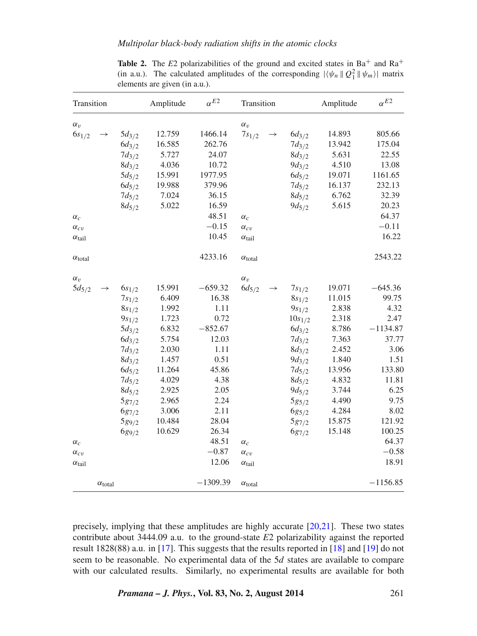<span id="page-6-0"></span>

| Transition              |                         | Amplitude  | $\alpha^{E2}$ | Transition |                         |               | Amplitude   | $\alpha^{E2}$ |            |
|-------------------------|-------------------------|------------|---------------|------------|-------------------------|---------------|-------------|---------------|------------|
| $\alpha_v$              |                         |            |               |            | $\alpha_v$              |               |             |               |            |
| $6s_{1/2}$              | $\rightarrow$           | $5d_{3/2}$ | 12.759        | 1466.14    | $7s_{1/2}$              | $\rightarrow$ | $6d_{3/2}$  | 14.893        | 805.66     |
|                         |                         | $6d_{3/2}$ | 16.585        | 262.76     |                         |               | $7d_{3/2}$  | 13.942        | 175.04     |
|                         |                         | $7d_{3/2}$ | 5.727         | 24.07      |                         |               | $8d_{3/2}$  | 5.631         | 22.55      |
|                         |                         | $8d_{3/2}$ | 4.036         | 10.72      |                         |               | $9d_{3/2}$  | 4.510         | 13.08      |
|                         |                         | $5d_{5/2}$ | 15.991        | 1977.95    |                         |               | $6d_{5/2}$  | 19.071        | 1161.65    |
|                         |                         | $6d_{5/2}$ | 19.988        | 379.96     |                         |               | $7d_{5/2}$  | 16.137        | 232.13     |
|                         |                         | $7d_{5/2}$ | 7.024         | 36.15      |                         |               | $8d_{5/2}$  | 6.762         | 32.39      |
|                         |                         | $8d_{5/2}$ | 5.022         | 16.59      |                         |               | $9d_{5/2}$  | 5.615         | 20.23      |
| $\alpha_c$              |                         |            |               | 48.51      | $\alpha_c$              |               |             |               | 64.37      |
| $\alpha_{cv}$           |                         |            |               | $-0.15$    | $\alpha_{cv}$           |               |             |               | $-0.11$    |
| $\alpha_{\rm tail}$     |                         |            |               | 10.45      | $\alpha_{\text{tail}}$  |               |             |               | 16.22      |
| $\alpha_{\text{total}}$ |                         |            |               | 4233.16    | $\alpha_{\text{total}}$ |               |             |               | 2543.22    |
| $\alpha_v$              |                         |            |               |            | $\alpha_v$              |               |             |               |            |
| $5d_{5/2}$              | $\rightarrow$           | $6s_{1/2}$ | 15.991        | $-659.32$  | $6d_{5/2}$              | $\rightarrow$ | $7s_{1/2}$  | 19.071        | $-645.36$  |
|                         |                         | $7s_{1/2}$ | 6.409         | 16.38      |                         |               | $8s_{1/2}$  | 11.015        | 99.75      |
|                         |                         | $8s_{1/2}$ | 1.992         | 1.11       |                         |               | $9s_{1/2}$  | 2.838         | 4.32       |
|                         |                         | $9s_{1/2}$ | 1.723         | 0.72       |                         |               | $10s_{1/2}$ | 2.318         | 2.47       |
|                         |                         | $5d_{3/2}$ | 6.832         | $-852.67$  |                         |               | $6d_{3/2}$  | 8.786         | $-1134.87$ |
|                         |                         | $6d_{3/2}$ | 5.754         | 12.03      |                         |               | $7d_{3/2}$  | 7.363         | 37.77      |
|                         |                         | $7d_{3/2}$ | 2.030         | 1.11       |                         |               | $8d_{3/2}$  | 2.452         | 3.06       |
|                         |                         | $8d_{3/2}$ | 1.457         | 0.51       |                         |               | $9d_{3/2}$  | 1.840         | 1.51       |
|                         |                         | $6d_{5/2}$ | 11.264        | 45.86      |                         |               | $7d_{5/2}$  | 13.956        | 133.80     |
|                         |                         | $7d_{5/2}$ | 4.029         | 4.38       |                         |               | $8d_{5/2}$  | 4.832         | 11.81      |
|                         |                         | $8d_{5/2}$ | 2.925         | 2.05       |                         |               | $9d_{5/2}$  | 3.744         | 6.25       |
|                         |                         | $5g_{7/2}$ | 2.965         | 2.24       |                         |               | $5g_{5/2}$  | 4.490         | 9.75       |
|                         |                         | $6g_{7/2}$ | 3.006         | 2.11       |                         |               | $6g_{5/2}$  | 4.284         | 8.02       |
|                         |                         | $5g_{9/2}$ | 10.484        | 28.04      |                         |               | $5g_{7/2}$  | 15.875        | 121.92     |
|                         |                         | $6g_{9/2}$ | 10.629        | 26.34      |                         |               | $6g_{7/2}$  | 15.148        | 100.25     |
| $\alpha_c$              |                         |            |               | 48.51      | $\alpha_c$              |               |             |               | 64.37      |
| $\alpha_{cv}$           |                         |            |               | $-0.87$    | $\alpha_{cv}$           |               |             |               | $-0.58$    |
| $\alpha_{tail}$         |                         |            |               | 12.06      | $\alpha_{\text{tail}}$  |               |             |               | 18.91      |
|                         | $\alpha_{\text{total}}$ |            |               | $-1309.39$ | $\alpha_{\rm total}$    |               |             |               | $-1156.85$ |

**Table 2.** The  $E2$  polarizabilities of the ground and excited states in  $Ba<sup>+</sup>$  and  $Ra<sup>+</sup>$ (in a.u.). The calculated amplitudes of the corresponding  $|\langle \psi_n | Q_1^2 | |\psi_m \rangle|$  matrix elements are given (in a.u.).

precisely, implying that these amplitudes are highly accurate [\[20](#page-8-12)[,21\]](#page-8-13). These two states contribute about 3444.09 a.u. to the ground-state *E*2 polarizability against the reported result 1828(88) a.u. in [\[17\]](#page-8-9). This suggests that the results reported in [\[18\]](#page-8-10) and [\[19\]](#page-8-11) do not seem to be reasonable. No experimental data of the 5*d* states are available to compare with our calculated results. Similarly, no experimental results are available for both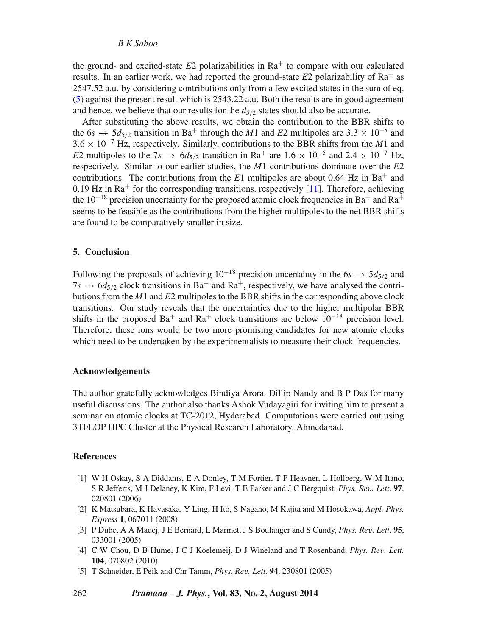## *B K Sahoo*

the ground- and excited-state  $E_2$  polarizabilities in  $Ra^+$  to compare with our calculated results. In an earlier work, we had reported the ground-state  $E2$  polarizability of  $Ra^+$  as 2547.52 a.u. by considering contributions only from a few excited states in the sum of eq. [\(5\)](#page-2-0) against the present result which is 2543.22 a.u. Both the results are in good agreement and hence, we believe that our results for the  $d_{5/2}$  states should also be accurate.

After substituting the above results, we obtain the contribution to the BBR shifts to the 6*s*  $\rightarrow$  5*d*<sub>5</sub>/<sub>2</sub> transition in Ba<sup>+</sup> through the *M*1 and *E*2 multipoles are 3.3 × 10<sup>-5</sup> and 3*.*6 × 10−<sup>7</sup> Hz, respectively. Similarly, contributions to the BBR shifts from the *M*1 and *E*2 multipoles to the 7*s*  $\rightarrow$  6*d*<sub>5/2</sub> transition in Ra<sup>+</sup> are 1.6 × 10<sup>-5</sup> and 2.4 × 10<sup>-7</sup> Hz, respectively. Similar to our earlier studies, the *M*1 contributions dominate over the *E*2 contributions. The contributions from the  $E1$  multipoles are about 0.64 Hz in Ba<sup>+</sup> and  $0.19$  Hz in Ra<sup>+</sup> for the corresponding transitions, respectively [\[11\]](#page-8-5). Therefore, achieving the 10<sup>-18</sup> precision uncertainty for the proposed atomic clock frequencies in Ba<sup>+</sup> and Ra<sup>+</sup> seems to be feasible as the contributions from the higher multipoles to the net BBR shifts are found to be comparatively smaller in size.

## **5. Conclusion**

Following the proposals of achieving  $10^{-18}$  precision uncertainty in the 6*s*  $\rightarrow$  5*d*<sub>5/2</sub> and  $7s \rightarrow 6d_{5/2}$  clock transitions in Ba<sup>+</sup> and Ra<sup>+</sup>, respectively, we have analysed the contributions from the *M*1 and *E*2 multipoles to the BBR shifts in the corresponding above clock transitions. Our study reveals that the uncertainties due to the higher multipolar BBR shifts in the proposed Ba<sup>+</sup> and Ra<sup>+</sup> clock transitions are below  $10^{-18}$  precision level. Therefore, these ions would be two more promising candidates for new atomic clocks which need to be undertaken by the experimentalists to measure their clock frequencies.

## **Acknowledgements**

The author gratefully acknowledges Bindiya Arora, Dillip Nandy and B P Das for many useful discussions. The author also thanks Ashok Vudayagiri for inviting him to present a seminar on atomic clocks at TC-2012, Hyderabad. Computations were carried out using 3TFLOP HPC Cluster at the Physical Research Laboratory, Ahmedabad.

## **References**

- <span id="page-7-0"></span>[1] W H Oskay, S A Diddams, E A Donley, T M Fortier, T P Heavner, L Hollberg, W M Itano, S R Jefferts, M J Delaney, K Kim, F Levi, T E Parker and J C Bergquist, *Phys. Rev. Lett.* **97**, 020801 (2006)
- <span id="page-7-1"></span>[2] K Matsubara, K Hayasaka, Y Ling, H Ito, S Nagano, M Kajita and M Hosokawa, *Appl. Phys. Express* **1**, 067011 (2008)
- <span id="page-7-2"></span>[3] P Dube, A A Madej, J E Bernard, L Marmet, J S Boulanger and S Cundy, *Phys. Rev. Lett.* **95**, 033001 (2005)
- <span id="page-7-3"></span>[4] C W Chou, D B Hume, J C J Koelemeij, D J Wineland and T Rosenband, *Phys. Rev. Lett.* **104**, 070802 (2010)
- <span id="page-7-4"></span>[5] T Schneider, E Peik and Chr Tamm, *Phys. Rev. Lett.* **94**, 230801 (2005)